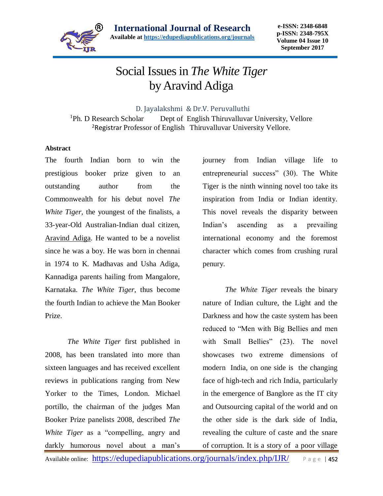

## Social Issues in *The White Tiger* by Aravind Adiga

D. Jayalakshmi & Dr.V. Peruvalluthi

<sup>1</sup>Ph. D Research Scholar Dept of English Thiruvalluvar University, Vellore <sup>2</sup>Registrar Professor of English Thiruvalluvar University Vellore.

## **Abstract**

The fourth Indian born to win the prestigious booker prize given to an outstanding author from the Commonwealth for his debut novel *The White Tiger,* the youngest of the finalists, a 33-year-Old Australian-Indian dual citizen, Aravind Adiga. He wanted to be a novelist since he was a boy. He was born in chennai in 1974 to K. Madhavas and Usha Adiga, Kannadiga parents hailing from Mangalore, Karnataka. *The White Tiger*, thus become the fourth Indian to achieve the Man Booker Prize.

*The White Tiger* first published in 2008, has been translated into more than sixteen languages and has received excellent reviews in publications ranging from New Yorker to the Times, London. Michael portillo, the chairman of the judges Man Booker Prize panelists 2008, described *The White Tiger* as a "compelling, angry and darkly humorous novel about a man's

journey from Indian village life to entrepreneurial success" (30). The White Tiger is the ninth winning novel too take its inspiration from India or Indian identity. This novel reveals the disparity between Indian's ascending as a prevailing international economy and the foremost character which comes from crushing rural penury.

*The White Tiger* reveals the binary nature of Indian culture, the Light and the Darkness and how the caste system has been reduced to "Men with Big Bellies and men with Small Bellies" (23). The novel showcases two extreme dimensions of modern India, on one side is the changing face of high-tech and rich India, particularly in the emergence of Banglore as the IT city and Outsourcing capital of the world and on the other side is the dark side of India, revealing the culture of caste and the snare of corruption. It is a story of a poor village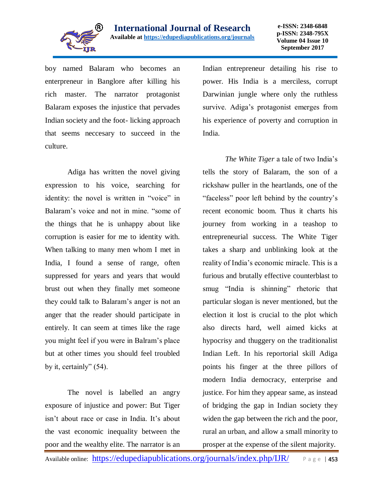

boy named Balaram who becomes an enterpreneur in Banglore after killing his rich master. The narrator protagonist Balaram exposes the injustice that pervades Indian society and the foot- licking approach that seems neccesary to succeed in the culture.

Adiga has written the novel giving expression to his voice, searching for identity: the novel is written in "voice" in Balaram's voice and not in mine. "some of the things that he is unhappy about like corruption is easier for me to identity with. When talking to many men whom I met in India, I found a sense of range, often suppressed for years and years that would brust out when they finally met someone they could talk to Balaram's anger is not an anger that the reader should participate in entirely. It can seem at times like the rage you might feel if you were in Balram's place but at other times you should feel troubled by it, certainly" (54).

The novel is labelled an angry exposure of injustice and power: But Tiger isn't about race or case in India. It's about the vast economic inequality between the poor and the wealthy elite. The narrator is an

Indian entrepreneur detailing his rise to power. His India is a merciless, corrupt Darwinian jungle where only the ruthless survive. Adiga's protagonist emerges from his experience of poverty and corruption in India.

*The White Tiger* a tale of two India's tells the story of Balaram, the son of a rickshaw puller in the heartlands, one of the "faceless" poor left behind by the country's recent economic boom. Thus it charts his journey from working in a teashop to entrepreneurial success. The White Tiger takes a sharp and unblinking look at the reality of India's economic miracle. This is a furious and brutally effective counterblast to smug "India is shinning" rhetoric that particular slogan is never mentioned, but the election it lost is crucial to the plot which also directs hard, well aimed kicks at hypocrisy and thuggery on the traditionalist Indian Left. In his reportorial skill Adiga points his finger at the three pillors of modern India democracy, enterprise and justice. For him they appear same, as instead of bridging the gap in Indian society they widen the gap between the rich and the poor, rural an urban, and allow a small minority to prosper at the expense of the silent majority.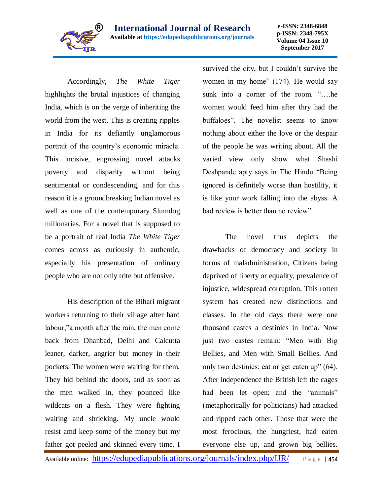

**e-ISSN: 2348-6848 p-ISSN: 2348-795X Volume 04 Issue 10 September 2017**

Accordingly, *The White Tiger* highlights the brutal injustices of changing India, which is on the verge of inheriting the world from the west. This is creating ripples in India for its defiantly unglamorous portrait of the country's economic miracle. This incisive, engrossing novel attacks poverty and disparity without being sentimental or condescending, and for this reason it is a groundbreaking Indian novel as well as one of the contemporary Slumdog millonaries. For a novel that is supposed to be a portrait of real India *The White Tiger* comes across as curiously in authentic, especially his presentation of ordinary people who are not only trite but offensive.

His description of the Bihari migrant workers returning to their village after hard labour,"a month after the rain, the men come back from Dhanbad, Delhi and Calcutta leaner, darker, angrier but money in their pockets. The women were waiting for them. They hid behind the doors, and as soon as the men walked in, they pounced like wildcats on a flesh. They were fighting waiting and shrieking. My uncle would resist amd keep some of the money but my father got peeled and skinned every time. I

survived the city, but I couldn't survive the women in my home" (174). He would say sunk into a corner of the room. "….he women would feed him after thry had the buffaloes". The novelist seems to know nothing about either the love or the despair of the people he was writing about. All the varied view only show what Shashi Deshpande apty says in The Hindu "Being ignored is definitely worse than hostility, it is like your work falling into the abyss. A bad review is better than no review".

The novel thus depicts the drawbacks of democracy and society in forms of maladministration, Citizens being deprived of liberty or equality, prevalence of injustice, widespread corruption. This rotten system has created new distinctions and classes. In the old days there were one thousand castes a destinies in India. Now just two castes remain: "Men with Big Bellies, and Men with Small Bellies. And only two destinies: eat or get eaten up" (64). After independence the British left the cages had been let open; and the "animals" (metaphorically for politicians) had attacked and ripped each other. Those that were the most ferocious, the hungriest, had eaten everyone else up, and grown big bellies.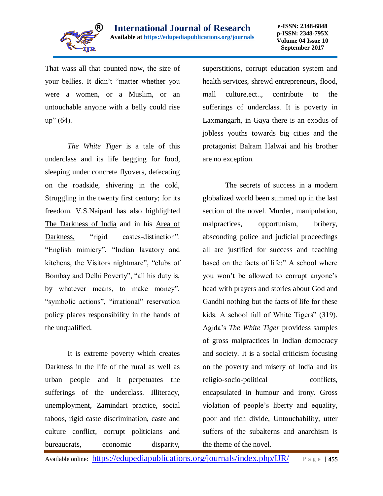

That wass all that counted now, the size of your bellies. It didn't "matter whether you were a women, or a Muslim, or an untouchable anyone with a belly could rise  $up''(64)$ .

*The White Tiger* is a tale of this underclass and its life begging for food, sleeping under concrete flyovers, defecating on the roadside, shivering in the cold, Struggling in the twenty first century; for its freedom. V.S.Naipaul has also highlighted The Darkness of India and in his Area of Darkness, "rigid castes-distinction". "English mimicry", "Indian lavatory and kitchens, the Visitors nightmare", "clubs of Bombay and Delhi Poverty", "all his duty is, by whatever means, to make money", "symbolic actions", "irrational" reservation policy places responsibility in the hands of the unqualified.

It is extreme poverty which creates Darkness in the life of the rural as well as urban people and it perpetuates the sufferings of the underclass. Illiteracy, unemployment, Zamindari practice, social taboos, rigid caste discrimination, caste and culture conflict, corrupt politicians and bureaucrats, economic disparity,

superstitions, corrupt education system and health services, shrewd entrepreneurs, flood, mall culture,ect.., contribute to the sufferings of underclass. It is poverty in Laxmangarh, in Gaya there is an exodus of jobless youths towards big cities and the protagonist Balram Halwai and his brother are no exception.

The secrets of success in a modern globalized world been summed up in the last section of the novel. Murder, manipulation, malpractices, opportunism, bribery, absconding police and judicial proceedings all are justified for success and teaching based on the facts of life:" A school where you won't be allowed to corrupt anyone's head with prayers and stories about God and Gandhi nothing but the facts of life for these kids. A school full of White Tigers" (319). Agida's *The White Tiger* providess samples of gross malpractices in Indian democracy and society. It is a social criticism focusing on the poverty and misery of India and its religio-socio-political conflicts, encapsulated in humour and irony. Gross violation of people's liberty and equality, poor and rich divide, Untouchability, utter suffers of the subalterns and anarchism is the theme of the novel.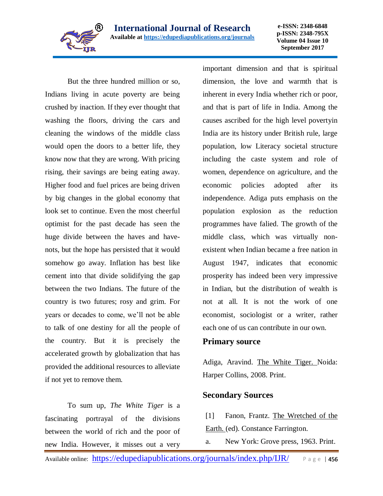

**e-ISSN: 2348-6848 p-ISSN: 2348-795X Volume 04 Issue 10 September 2017**

But the three hundred million or so, Indians living in acute poverty are being crushed by inaction. If they ever thought that washing the floors, driving the cars and cleaning the windows of the middle class would open the doors to a better life, they know now that they are wrong. With pricing rising, their savings are being eating away. Higher food and fuel prices are being driven by big changes in the global economy that look set to continue. Even the most cheerful optimist for the past decade has seen the huge divide between the haves and havenots, but the hope has persisted that it would somehow go away. Inflation has best like cement into that divide solidifying the gap between the two Indians. The future of the country is two futures; rosy and grim. For years or decades to come, we'll not be able to talk of one destiny for all the people of the country. But it is precisely the accelerated growth by globalization that has provided the additional resources to alleviate if not yet to remove them.

To sum up, *The White Tiger* is a fascinating portrayal of the divisions between the world of rich and the poor of new India. However, it misses out a very

important dimension and that is spiritual dimension, the love and warmth that is inherent in every India whether rich or poor, and that is part of life in India. Among the causes ascribed for the high level povertyin India are its history under British rule, large population, low Literacy societal structure including the caste system and role of women, dependence on agriculture, and the economic policies adopted after its independence. Adiga puts emphasis on the population explosion as the reduction programmes have falied. The growth of the middle class, which was virtually nonexistent when Indian became a free nation in August 1947, indicates that economic prosperity has indeed been very impressive in Indian, but the distribution of wealth is not at all. It is not the work of one economist, sociologist or a writer, rather each one of us can contribute in our own.

## **Primary source**

Adiga, Aravind. The White Tiger. Noida: Harper Collins, 2008. Print.

## **Secondary Sources**

[1] Fanon, Frantz. The Wretched of the Earth. (ed). Constance Farrington.

a. New York: Grove press, 1963. Print.